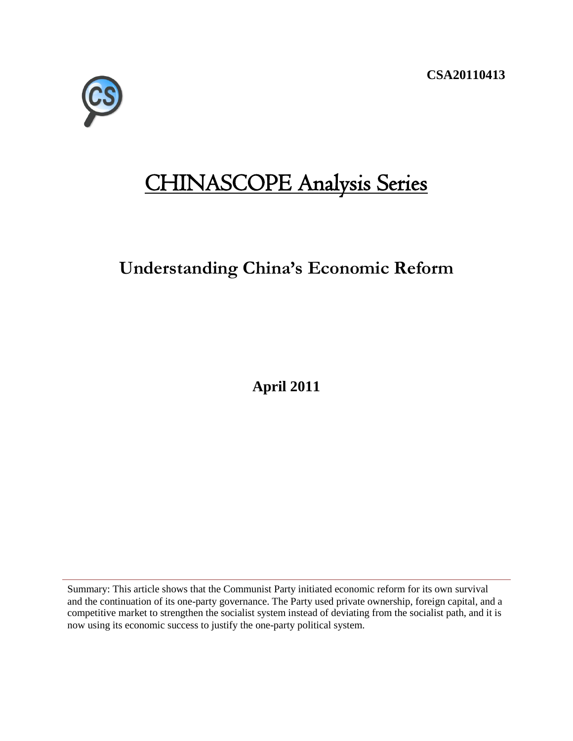**CSA20110413**



# CHINASCOPE Analysis Series

## **Understanding China's Economic Reform**

**April 2011**

Summary: This article shows that the Communist Party initiated economic reform for its own survival and the continuation of its one-party governance. The Party used private ownership, foreign capital, and a competitive market to strengthen the socialist system instead of deviating from the socialist path, and it is now using its economic success to justify the one-party political system.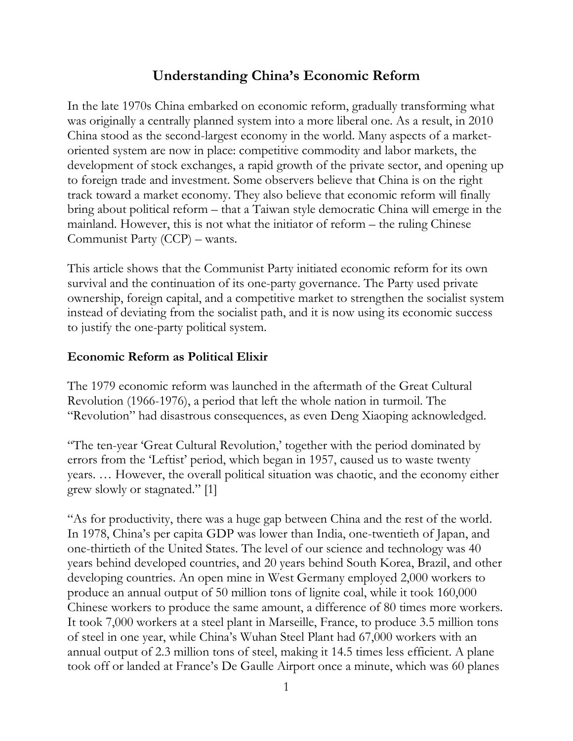### **Understanding China's Economic Reform**

In the late 1970s China embarked on economic reform, gradually transforming what was originally a centrally planned system into a more liberal one. As a result, in 2010 China stood as the second-largest economy in the world. Many aspects of a marketoriented system are now in place: competitive commodity and labor markets, the development of stock exchanges, a rapid growth of the private sector, and opening up to foreign trade and investment. Some observers believe that China is on the right track toward a market economy. They also believe that economic reform will finally bring about political reform – that a Taiwan style democratic China will emerge in the mainland. However, this is not what the initiator of reform – the ruling Chinese Communist Party (CCP) – wants.

This article shows that the Communist Party initiated economic reform for its own survival and the continuation of its one-party governance. The Party used private ownership, foreign capital, and a competitive market to strengthen the socialist system instead of deviating from the socialist path, and it is now using its economic success to justify the one-party political system.

#### **Economic Reform as Political Elixir**

The 1979 economic reform was launched in the aftermath of the Great Cultural Revolution (1966-1976), a period that left the whole nation in turmoil. The "Revolution" had disastrous consequences, as even Deng Xiaoping acknowledged.

―The ten-year ‗Great Cultural Revolution,' together with the period dominated by errors from the 'Leftist' period, which began in 1957, caused us to waste twenty years. … However, the overall political situation was chaotic, and the economy either grew slowly or stagnated.‖ [1]

―As for productivity, there was a huge gap between China and the rest of the world. In 1978, China's per capita GDP was lower than India, one-twentieth of Japan, and one-thirtieth of the United States. The level of our science and technology was 40 years behind developed countries, and 20 years behind South Korea, Brazil, and other developing countries. An open mine in West Germany employed 2,000 workers to produce an annual output of 50 million tons of lignite coal, while it took 160,000 Chinese workers to produce the same amount, a difference of 80 times more workers. It took 7,000 workers at a steel plant in Marseille, France, to produce 3.5 million tons of steel in one year, while China's Wuhan Steel Plant had 67,000 workers with an annual output of 2.3 million tons of steel, making it 14.5 times less efficient. A plane took off or landed at France's De Gaulle Airport once a minute, which was 60 planes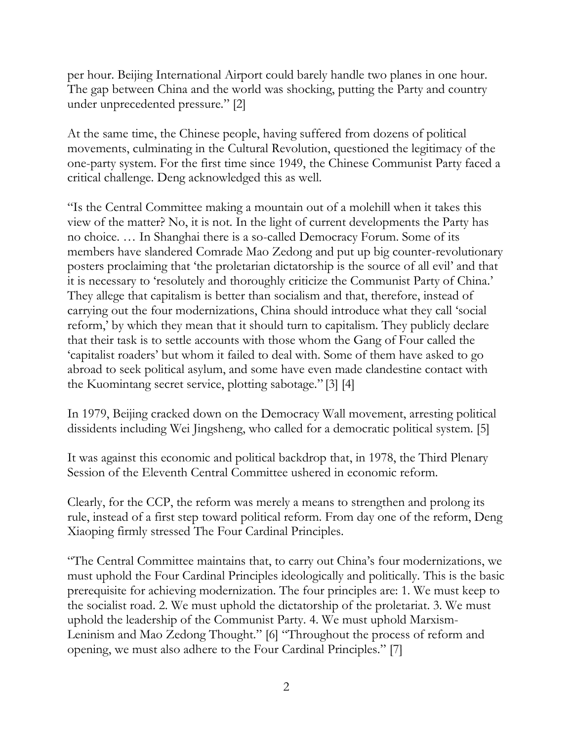per hour. Beijing International Airport could barely handle two planes in one hour. The gap between China and the world was shocking, putting the Party and country under unprecedented pressure." [2]

At the same time, the Chinese people, having suffered from dozens of political movements, culminating in the Cultural Revolution, questioned the legitimacy of the one-party system. For the first time since 1949, the Chinese Communist Party faced a critical challenge. Deng acknowledged this as well.

―Is the Central Committee making a mountain out of a molehill when it takes this view of the matter? No, it is not. In the light of current developments the Party has no choice. … In Shanghai there is a so-called Democracy Forum. Some of its members have slandered Comrade Mao Zedong and put up big counter-revolutionary posters proclaiming that ‗the proletarian dictatorship is the source of all evil' and that it is necessary to 'resolutely and thoroughly criticize the Communist Party of China.' They allege that capitalism is better than socialism and that, therefore, instead of carrying out the four modernizations, China should introduce what they call 'social reform,' by which they mean that it should turn to capitalism. They publicly declare that their task is to settle accounts with those whom the Gang of Four called the ‗capitalist roaders' but whom it failed to deal with. Some of them have asked to go abroad to seek political asylum, and some have even made clandestine contact with the Kuomintang secret service, plotting sabotage." [3] [4]

In 1979, Beijing cracked down on the Democracy Wall movement, arresting political dissidents including Wei Jingsheng, who called for a democratic political system. [5]

It was against this economic and political backdrop that, in 1978, the Third Plenary Session of the Eleventh Central Committee ushered in economic reform.

Clearly, for the CCP, the reform was merely a means to strengthen and prolong its rule, instead of a first step toward political reform. From day one of the reform, Deng Xiaoping firmly stressed The Four Cardinal Principles.

―The Central Committee maintains that, to carry out China's four modernizations, we must uphold the Four Cardinal Principles ideologically and politically. This is the basic prerequisite for achieving modernization. The four principles are: 1. We must keep to the socialist road. 2. We must uphold the dictatorship of the proletariat. 3. We must uphold the leadership of the Communist Party. 4. We must uphold Marxism-Leninism and Mao Zedong Thought." [6] "Throughout the process of reform and opening, we must also adhere to the Four Cardinal Principles." [7]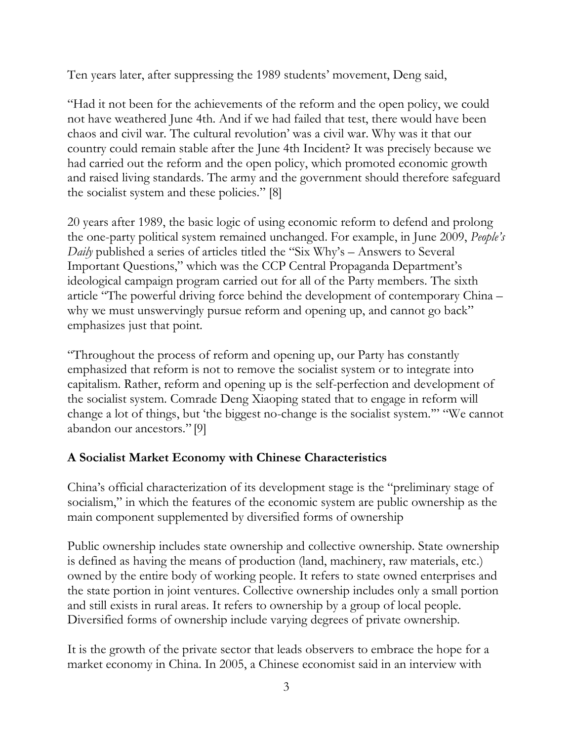Ten years later, after suppressing the 1989 students' movement, Deng said,

―Had it not been for the achievements of the reform and the open policy, we could not have weathered June 4th. And if we had failed that test, there would have been chaos and civil war. The cultural revolution' was a civil war. Why was it that our country could remain stable after the June 4th Incident? It was precisely because we had carried out the reform and the open policy, which promoted economic growth and raised living standards. The army and the government should therefore safeguard the socialist system and these policies." [8]

20 years after 1989, the basic logic of using economic reform to defend and prolong the one-party political system remained unchanged. For example, in June 2009, *People's Daily* published a series of articles titled the "Six Why's – Answers to Several Important Questions," which was the CCP Central Propaganda Department's ideological campaign program carried out for all of the Party members. The sixth article "The powerful driving force behind the development of contemporary China – why we must unswervingly pursue reform and opening up, and cannot go back" emphasizes just that point.

―Throughout the process of reform and opening up, our Party has constantly emphasized that reform is not to remove the socialist system or to integrate into capitalism. Rather, reform and opening up is the self-perfection and development of the socialist system. Comrade Deng Xiaoping stated that to engage in reform will change a lot of things, but 'the biggest no-change is the socialist system.'" "We cannot abandon our ancestors." [9]

#### **A Socialist Market Economy with Chinese Characteristics**

China's official characterization of its development stage is the "preliminary stage of socialism," in which the features of the economic system are public ownership as the main component supplemented by diversified forms of ownership

Public ownership includes state ownership and collective ownership. State ownership is defined as having the means of production (land, machinery, raw materials, etc.) owned by the entire body of working people. It refers to state owned enterprises and the state portion in joint ventures. Collective ownership includes only a small portion and still exists in rural areas. It refers to ownership by a group of local people. Diversified forms of ownership include varying degrees of private ownership.

It is the growth of the private sector that leads observers to embrace the hope for a market economy in China. In 2005, a Chinese economist said in an interview with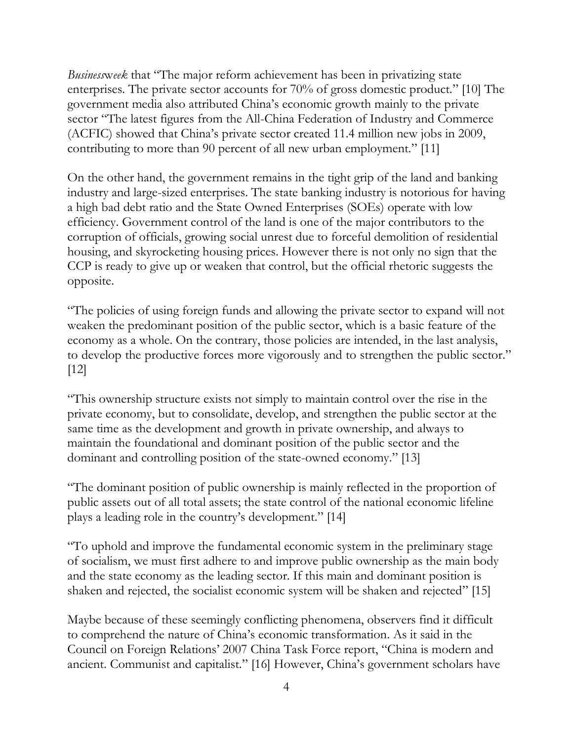*Businessweek* that "The major reform achievement has been in privatizing state enterprises. The private sector accounts for  $70\%$  of gross domestic product." [10] The government media also attributed China's economic growth mainly to the private sector "The latest figures from the All-China Federation of Industry and Commerce (ACFIC) showed that China's private sector created 11.4 million new jobs in 2009, contributing to more than 90 percent of all new urban employment." [11]

On the other hand, the government remains in the tight grip of the land and banking industry and large-sized enterprises. The state banking industry is notorious for having a high bad debt ratio and the State Owned Enterprises (SOEs) operate with low efficiency. Government control of the land is one of the major contributors to the corruption of officials, growing social unrest due to forceful demolition of residential housing, and skyrocketing housing prices. However there is not only no sign that the CCP is ready to give up or weaken that control, but the official rhetoric suggests the opposite.

―The policies of using foreign funds and allowing the private sector to expand will not weaken the predominant position of the public sector, which is a basic feature of the economy as a whole. On the contrary, those policies are intended, in the last analysis, to develop the productive forces more vigorously and to strengthen the public sector." [12]

―This ownership structure exists not simply to maintain control over the rise in the private economy, but to consolidate, develop, and strengthen the public sector at the same time as the development and growth in private ownership, and always to maintain the foundational and dominant position of the public sector and the dominant and controlling position of the state-owned economy." [13]

―The dominant position of public ownership is mainly reflected in the proportion of public assets out of all total assets; the state control of the national economic lifeline plays a leading role in the country's development." [14]

―To uphold and improve the fundamental economic system in the preliminary stage of socialism, we must first adhere to and improve public ownership as the main body and the state economy as the leading sector. If this main and dominant position is shaken and rejected, the socialist economic system will be shaken and rejected" [15]

Maybe because of these seemingly conflicting phenomena, observers find it difficult to comprehend the nature of China's economic transformation. As it said in the Council on Foreign Relations' 2007 China Task Force report, "China is modern and ancient. Communist and capitalist." [16] However, China's government scholars have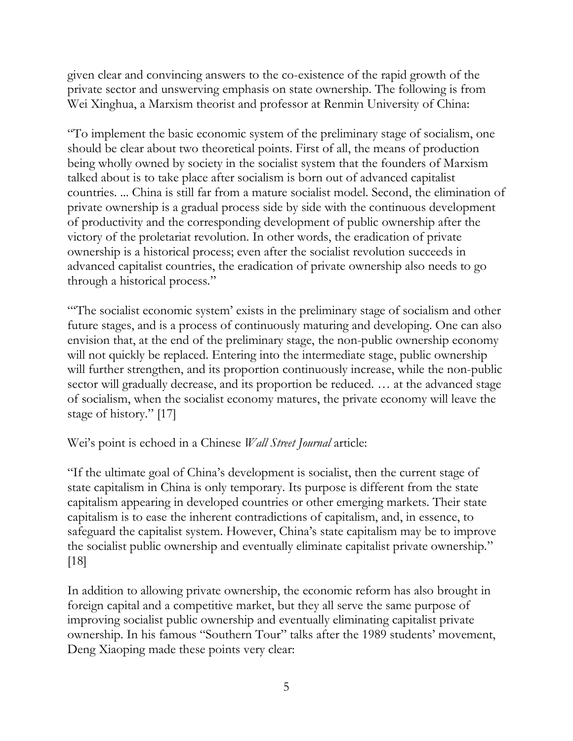given clear and convincing answers to the co-existence of the rapid growth of the private sector and unswerving emphasis on state ownership. The following is from Wei Xinghua, a Marxism theorist and professor at Renmin University of China:

―To implement the basic economic system of the preliminary stage of socialism, one should be clear about two theoretical points. First of all, the means of production being wholly owned by society in the socialist system that the founders of Marxism talked about is to take place after socialism is born out of advanced capitalist countries. ... China is still far from a mature socialist model. Second, the elimination of private ownership is a gradual process side by side with the continuous development of productivity and the corresponding development of public ownership after the victory of the proletariat revolution. In other words, the eradication of private ownership is a historical process; even after the socialist revolution succeeds in advanced capitalist countries, the eradication of private ownership also needs to go through a historical process."

―‗The socialist economic system' exists in the preliminary stage of socialism and other future stages, and is a process of continuously maturing and developing. One can also envision that, at the end of the preliminary stage, the non-public ownership economy will not quickly be replaced. Entering into the intermediate stage, public ownership will further strengthen, and its proportion continuously increase, while the non-public sector will gradually decrease, and its proportion be reduced. … at the advanced stage of socialism, when the socialist economy matures, the private economy will leave the stage of history." [17]

#### Wei's point is echoed in a Chinese *Wall Street Journal* article:

―If the ultimate goal of China's development is socialist, then the current stage of state capitalism in China is only temporary. Its purpose is different from the state capitalism appearing in developed countries or other emerging markets. Their state capitalism is to ease the inherent contradictions of capitalism, and, in essence, to safeguard the capitalist system. However, China's state capitalism may be to improve the socialist public ownership and eventually eliminate capitalist private ownership." [18]

In addition to allowing private ownership, the economic reform has also brought in foreign capital and a competitive market, but they all serve the same purpose of improving socialist public ownership and eventually eliminating capitalist private ownership. In his famous "Southern Tour" talks after the 1989 students' movement, Deng Xiaoping made these points very clear: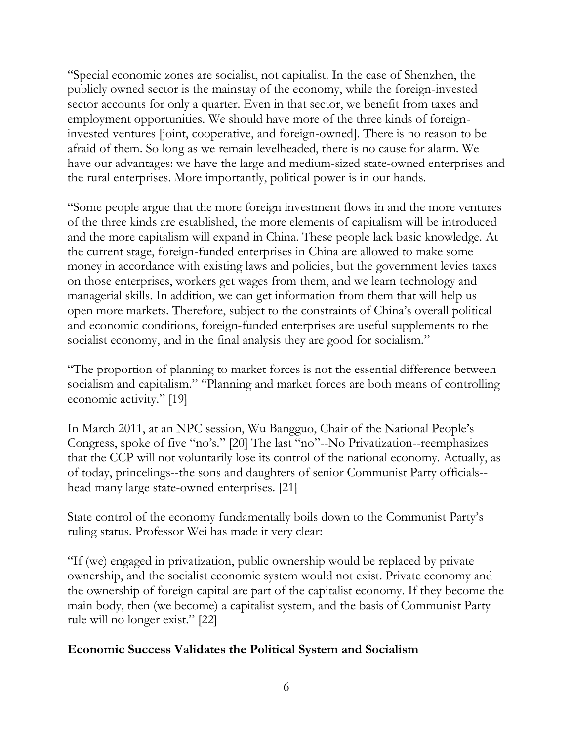―Special economic zones are socialist, not capitalist. In the case of Shenzhen, the publicly owned sector is the mainstay of the economy, while the foreign-invested sector accounts for only a quarter. Even in that sector, we benefit from taxes and employment opportunities. We should have more of the three kinds of foreigninvested ventures [joint, cooperative, and foreign-owned]. There is no reason to be afraid of them. So long as we remain levelheaded, there is no cause for alarm. We have our advantages: we have the large and medium-sized state-owned enterprises and the rural enterprises. More importantly, political power is in our hands.

―Some people argue that the more foreign investment flows in and the more ventures of the three kinds are established, the more elements of capitalism will be introduced and the more capitalism will expand in China. These people lack basic knowledge. At the current stage, foreign-funded enterprises in China are allowed to make some money in accordance with existing laws and policies, but the government levies taxes on those enterprises, workers get wages from them, and we learn technology and managerial skills. In addition, we can get information from them that will help us open more markets. Therefore, subject to the constraints of China's overall political and economic conditions, foreign-funded enterprises are useful supplements to the socialist economy, and in the final analysis they are good for socialism."

―The proportion of planning to market forces is not the essential difference between socialism and capitalism." "Planning and market forces are both means of controlling economic activity." [19]

In March 2011, at an NPC session, Wu Bangguo, Chair of the National People's Congress, spoke of five "no's." [20] The last "no"--No Privatization--reemphasizes that the CCP will not voluntarily lose its control of the national economy. Actually, as of today, princelings--the sons and daughters of senior Communist Party officials- head many large state-owned enterprises. [21]

State control of the economy fundamentally boils down to the Communist Party's ruling status. Professor Wei has made it very clear:

―If (we) engaged in privatization, public ownership would be replaced by private ownership, and the socialist economic system would not exist. Private economy and the ownership of foreign capital are part of the capitalist economy. If they become the main body, then (we become) a capitalist system, and the basis of Communist Party rule will no longer exist." [22]

#### **Economic Success Validates the Political System and Socialism**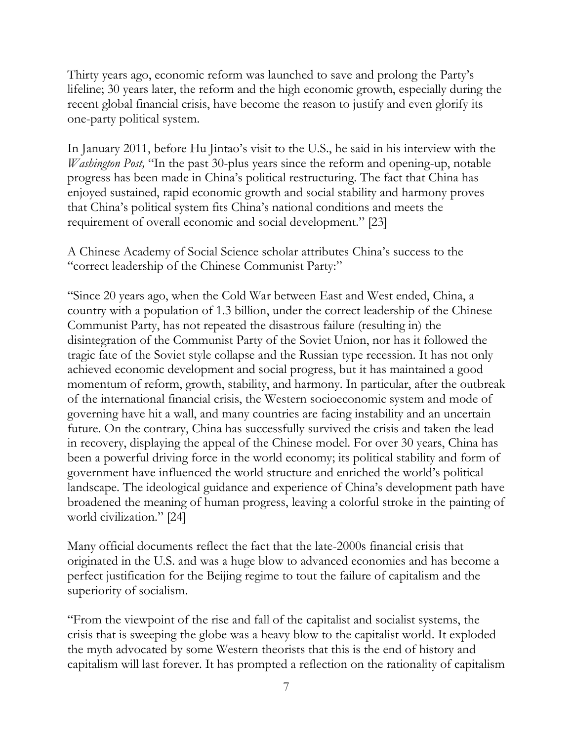Thirty years ago, economic reform was launched to save and prolong the Party's lifeline; 30 years later, the reform and the high economic growth, especially during the recent global financial crisis, have become the reason to justify and even glorify its one-party political system.

In January 2011, before Hu Jintao's visit to the U.S., he said in his interview with the *Washington Post*, "In the past 30-plus years since the reform and opening-up, notable progress has been made in China's political restructuring. The fact that China has enjoyed sustained, rapid economic growth and social stability and harmony proves that China's political system fits China's national conditions and meets the requirement of overall economic and social development." [23]

A Chinese Academy of Social Science scholar attributes China's success to the "correct leadership of the Chinese Communist Party:"

―Since 20 years ago, when the Cold War between East and West ended, China, a country with a population of 1.3 billion, under the correct leadership of the Chinese Communist Party, has not repeated the disastrous failure (resulting in) the disintegration of the Communist Party of the Soviet Union, nor has it followed the tragic fate of the Soviet style collapse and the Russian type recession. It has not only achieved economic development and social progress, but it has maintained a good momentum of reform, growth, stability, and harmony. In particular, after the outbreak of the international financial crisis, the Western socioeconomic system and mode of governing have hit a wall, and many countries are facing instability and an uncertain future. On the contrary, China has successfully survived the crisis and taken the lead in recovery, displaying the appeal of the Chinese model. For over 30 years, China has been a powerful driving force in the world economy; its political stability and form of government have influenced the world structure and enriched the world's political landscape. The ideological guidance and experience of China's development path have broadened the meaning of human progress, leaving a colorful stroke in the painting of world civilization." [24]

Many official documents reflect the fact that the late-2000s financial crisis that originated in the U.S. and was a huge blow to advanced economies and has become a perfect justification for the Beijing regime to tout the failure of capitalism and the superiority of socialism.

―From the viewpoint of the rise and fall of the capitalist and socialist systems, the crisis that is sweeping the globe was a heavy blow to the capitalist world. It exploded the myth advocated by some Western theorists that this is the end of history and capitalism will last forever. It has prompted a reflection on the rationality of capitalism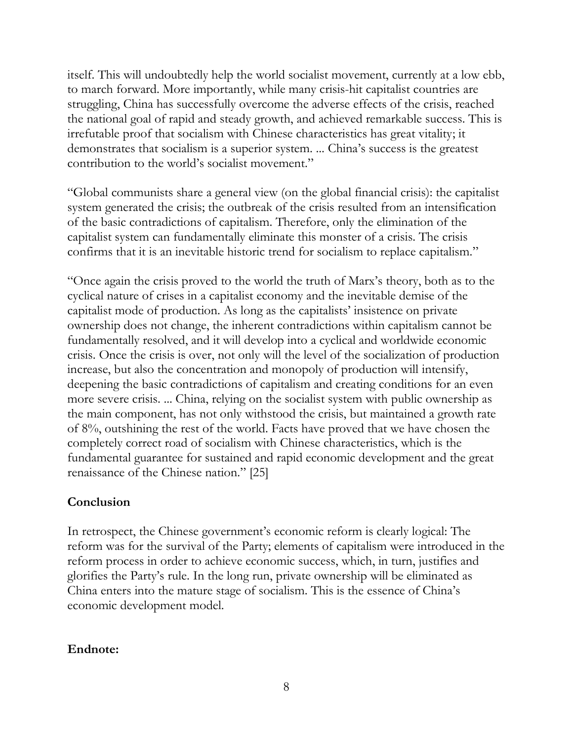itself. This will undoubtedly help the world socialist movement, currently at a low ebb, to march forward. More importantly, while many crisis-hit capitalist countries are struggling, China has successfully overcome the adverse effects of the crisis, reached the national goal of rapid and steady growth, and achieved remarkable success. This is irrefutable proof that socialism with Chinese characteristics has great vitality; it demonstrates that socialism is a superior system. ... China's success is the greatest contribution to the world's socialist movement."

―Global communists share a general view (on the global financial crisis): the capitalist system generated the crisis; the outbreak of the crisis resulted from an intensification of the basic contradictions of capitalism. Therefore, only the elimination of the capitalist system can fundamentally eliminate this monster of a crisis. The crisis confirms that it is an inevitable historic trend for socialism to replace capitalism."

―Once again the crisis proved to the world the truth of Marx's theory, both as to the cyclical nature of crises in a capitalist economy and the inevitable demise of the capitalist mode of production. As long as the capitalists' insistence on private ownership does not change, the inherent contradictions within capitalism cannot be fundamentally resolved, and it will develop into a cyclical and worldwide economic crisis. Once the crisis is over, not only will the level of the socialization of production increase, but also the concentration and monopoly of production will intensify, deepening the basic contradictions of capitalism and creating conditions for an even more severe crisis. ... China, relying on the socialist system with public ownership as the main component, has not only withstood the crisis, but maintained a growth rate of 8%, outshining the rest of the world. Facts have proved that we have chosen the completely correct road of socialism with Chinese characteristics, which is the fundamental guarantee for sustained and rapid economic development and the great renaissance of the Chinese nation." [25]

#### **Conclusion**

In retrospect, the Chinese government's economic reform is clearly logical: The reform was for the survival of the Party; elements of capitalism were introduced in the reform process in order to achieve economic success, which, in turn, justifies and glorifies the Party's rule. In the long run, private ownership will be eliminated as China enters into the mature stage of socialism. This is the essence of China's economic development model.

#### **Endnote:**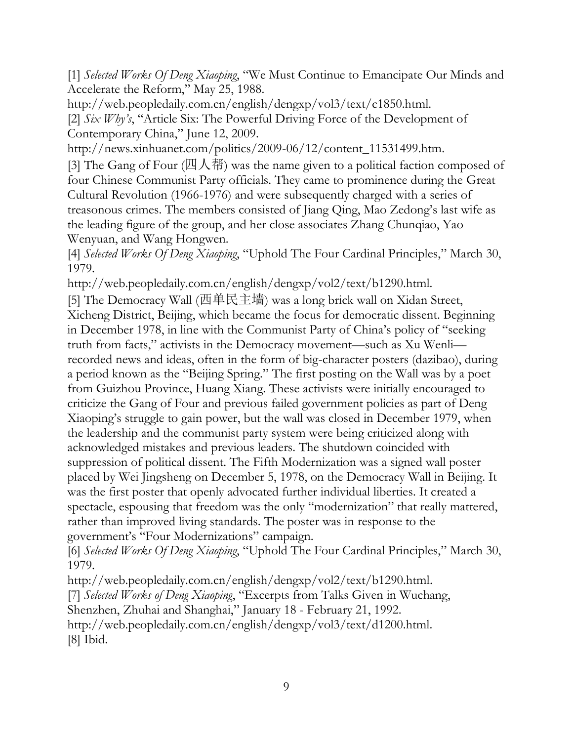[1] *Selected Works Of Deng Xiaoping*, "We Must Continue to Emancipate Our Minds and Accelerate the Reform," May 25, 1988.

http://web.peopledaily.com.cn/english/dengxp/vol3/text/c1850.html. [2]  $Six Wby's$ , "Article Six: The Powerful Driving Force of the Development of Contemporary China," June 12, 2009.

http://news.xinhuanet.com/politics/2009-06/12/content\_11531499.htm.

[3] The Gang of Four (四人帮) was the name given to a political faction composed of four Chinese Communist Party officials. They came to prominence during the Great Cultural Revolution (1966-1976) and were subsequently charged with a series of treasonous crimes. The members consisted of Jiang Qing, Mao Zedong's last wife as the leading figure of the group, and her close associates Zhang Chunqiao, Yao Wenyuan, and Wang Hongwen.

[4] *Selected Works Of Deng Xiaoping*, "Uphold The Four Cardinal Principles," March 30, 1979.

http://web.peopledaily.com.cn/english/dengxp/vol2/text/b1290.html.

[5] The Democracy Wall (西单民主墙) was a long brick wall on Xidan Street, Xicheng District, Beijing, which became the focus for democratic dissent. Beginning in December 1978, in line with the Communist Party of China's policy of "seeking" truth from facts," activists in the Democracy movement—such as Xu Wenli recorded news and ideas, often in the form of big-character posters (dazibao), during a period known as the "Beijing Spring." The first posting on the Wall was by a poet from Guizhou Province, Huang Xiang. These activists were initially encouraged to criticize the Gang of Four and previous failed government policies as part of Deng Xiaoping's struggle to gain power, but the wall was closed in December 1979, when the leadership and the communist party system were being criticized along with acknowledged mistakes and previous leaders. The shutdown coincided with suppression of political dissent. The Fifth Modernization was a signed wall poster placed by Wei Jingsheng on December 5, 1978, on the Democracy Wall in Beijing. It was the first poster that openly advocated further individual liberties. It created a spectacle, espousing that freedom was the only "modernization" that really mattered, rather than improved living standards. The poster was in response to the government's "Four Modernizations" campaign.

[6] *Selected Works Of Deng Xiaoping*, "Uphold The Four Cardinal Principles," March 30, 1979.

http://web.peopledaily.com.cn/english/dengxp/vol2/text/b1290.html. [7] *Selected Works of Deng Xiaoping*, "Excerpts from Talks Given in Wuchang, Shenzhen, Zhuhai and Shanghai," January 18 - February 21, 1992. http://web.peopledaily.com.cn/english/dengxp/vol3/text/d1200.html. [8] Ibid.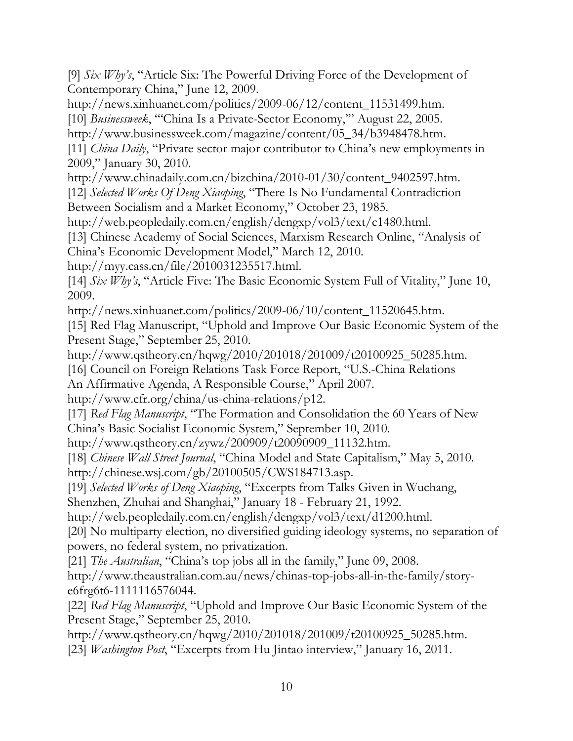[9]  $Six Wby's$ , "Article Six: The Powerful Driving Force of the Development of Contemporary China," June 12, 2009.

http://news.xinhuanet.com/politics/2009-06/12/content\_11531499.htm.

[10] *Businessweek*, "China Is a Private-Sector Economy," August 22, 2005.

http://www.businessweek.com/magazine/content/05\_34/b3948478.htm.

[11] *China Daily*, "Private sector major contributor to China's new employments in 2009," January 30, 2010.

http://www.chinadaily.com.cn/bizchina/2010-01/30/content\_9402597.htm.

[12] *Selected Works Of Deng Xiaoping*, "There Is No Fundamental Contradiction Between Socialism and a Market Economy," October 23, 1985.

http://web.peopledaily.com.cn/english/dengxp/vol3/text/c1480.html.

[13] Chinese Academy of Social Sciences, Marxism Research Online, "Analysis of China's Economic Development Model," March 12, 2010.

http://myy.cass.cn/file/2010031235517.html.

[14] *Six Why's*, "Article Five: The Basic Economic System Full of Vitality," June 10, 2009.

http://news.xinhuanet.com/politics/2009-06/10/content\_11520645.htm.

[15] Red Flag Manuscript, "Uphold and Improve Our Basic Economic System of the Present Stage," September 25, 2010.

http://www.qstheory.cn/hqwg/2010/201018/201009/t20100925\_50285.htm.

[16] Council on Foreign Relations Task Force Report, "U.S.-China Relations

An Affirmative Agenda, A Responsible Course," April 2007.

http://www.cfr.org/china/us-china-relations/p12.

[17] *Red Flag Manuscript*, "The Formation and Consolidation the 60 Years of New China's Basic Socialist Economic System," September 10, 2010.

http://www.qstheory.cn/zywz/200909/t20090909\_11132.htm.

[18] *Chinese Wall Street Journal*, "China Model and State Capitalism," May 5, 2010. http://chinese.wsj.com/gb/20100505/CWS184713.asp.

[19] *Selected Works of Deng Xiaoping*, "Excerpts from Talks Given in Wuchang,

Shenzhen, Zhuhai and Shanghai," January 18 - February 21, 1992.

http://web.peopledaily.com.cn/english/dengxp/vol3/text/d1200.html.

[20] No multiparty election, no diversified guiding ideology systems, no separation of powers, no federal system, no privatization.

[21] *The Australian*, "China's top jobs all in the family," June 09, 2008.

http://www.theaustralian.com.au/news/chinas-top-jobs-all-in-the-family/storye6frg6t6-1111116576044.

[22] *Red Flag Manuscript*, "Uphold and Improve Our Basic Economic System of the Present Stage," September 25, 2010.

http://www.qstheory.cn/hqwg/2010/201018/201009/t20100925\_50285.htm. [23] *Washington Post*, "Excerpts from Hu Jintao interview," January 16, 2011.